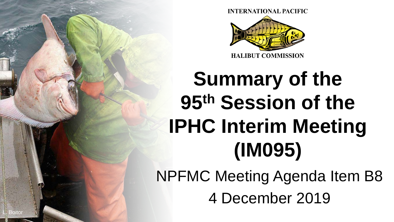

# **Summary of the 95th Session of the IPHC Interim Meeting (IM095)**

NPFMC Meeting Agenda Item B8 4 December 2019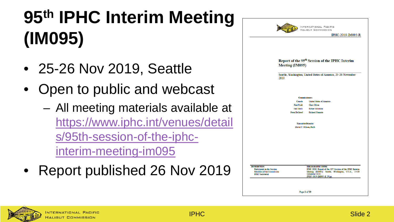# **95th IPHC Interim Meeting (IM095)**

- 25-26 Nov 2019, Seattle
- Open to public and webcast
	- All meeting materials available at [https://www.iphc.int/venues/detail](https://www.iphc.int/venues/details/95th-session-of-the-iphc-interim-meeting-im095) s/95th-session-of-the-iphcinterim-meeting-im095
- Report published 26 Nov 2019

|                                                                 | INTERNATIONAL PACIFIC<br><b>HALIBUT COMMISSION</b><br>IPHC-2019-IM095-R                                                     |
|-----------------------------------------------------------------|-----------------------------------------------------------------------------------------------------------------------------|
| <b>Meeting (IM095)</b><br>2019                                  | Report of the 95 <sup>th</sup> Session of the IPHC Interim<br>Seattle, Washington, United States of America, 25-26 November |
|                                                                 | <b>Commissioners</b>                                                                                                        |
| Canada                                                          | <b>United States of America</b>                                                                                             |
| Paul Ryall                                                      | <b>Chris Oliver</b>                                                                                                         |
| Neil Davis                                                      | <b>Robert Alverson</b>                                                                                                      |
| <b>Peter DeGreef</b>                                            | <b>Richard Yamada</b>                                                                                                       |
| <b>Executive Director</b><br>David T. Wilson, Ph.D.             |                                                                                                                             |
|                                                                 |                                                                                                                             |
|                                                                 |                                                                                                                             |
|                                                                 |                                                                                                                             |
|                                                                 |                                                                                                                             |
| <b>DISTRIBUTION:</b>                                            | <b>BIBLIOGRAPHIC ENTRY</b><br>IPHC 2019. Report of the 95 <sup>th</sup> Session of the IPHC Interim                         |
| <b>Participants in the Session</b><br>Members of the Commission | Meeting (IM095). Seattle, Washington, U.S.A., 25-26                                                                         |
| <b>IPHC</b> Secretariat                                         | November 2019.                                                                                                              |
|                                                                 | IPHC-2019-IM095-R, 29 pp.<br>Page 1 of 29                                                                                   |

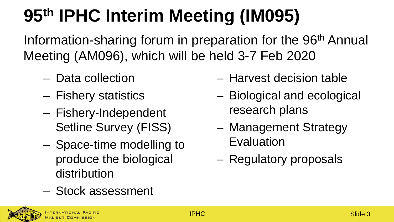# **95th IPHC Interim Meeting (IM095)**

Information-sharing forum in preparation for the 96<sup>th</sup> Annual Meeting (AM096), which will be held 3-7 Feb 2020

- Data collection
- Fishery statistics
- Fishery-Independent Setline Survey (FISS)
- Space-time modelling to produce the biological distribution
- Stock assessment



- Harvest decision table
- Biological and ecological research plans
- Management Strategy Evaluation
- Regulatory proposals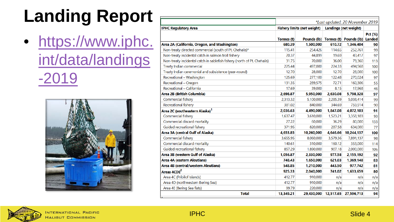## **Landing Report**

• https://www.iphc. int/data/landings  $-2019$ 



|                                                                          |            |                                    |           | *Last updated: 20 November 2019           |                |  |  |  |  |  |  |  |  |
|--------------------------------------------------------------------------|------------|------------------------------------|-----------|-------------------------------------------|----------------|--|--|--|--|--|--|--|--|
| <b>IPHC Regulatory Area</b>                                              |            | <b>Fishery limits (net weight)</b> |           | <b>Landings (net weight)</b>              |                |  |  |  |  |  |  |  |  |
|                                                                          | Tonnes (t) |                                    |           | Pounds (lb) Tonnes (t) Pounds (lb) Landed | <b>Pct (%)</b> |  |  |  |  |  |  |  |  |
| Area 2A (California, Oregon, and Washington)                             | 680.39     | 1,500,000                          | 610.72    | 1,346,404                                 | 90             |  |  |  |  |  |  |  |  |
| Non-treaty directed commercial (south of Pt. Chehalis)*                  | 115.41     | 254,426                            | 114.65    | 252,761                                   | 99             |  |  |  |  |  |  |  |  |
| Non-treaty incidental catch in salmon troll fishery                      | 20.37      | 44.899                             | 19.69     | 43,417                                    | 97             |  |  |  |  |  |  |  |  |
| Non-treaty incidental catch in sablefish fishery (north of Pt. Chehalis) | 31.75      | 70,000                             | 36.00     | 79,360                                    | 113            |  |  |  |  |  |  |  |  |
| Treaty Indian commercial                                                 | 225.44     | 497,000                            | 224.33    | 494,568                                   | 100            |  |  |  |  |  |  |  |  |
| Treaty Indian ceremonial and subsistence (year-round)                    | 12.70      | 28,000                             | 12.70     | 28,000                                    | 100            |  |  |  |  |  |  |  |  |
| Recreational - Washington                                                | 125.69     | 277,100                            | 122.48    | 270,024                                   | 97             |  |  |  |  |  |  |  |  |
| Recreational - Oregon                                                    | 131.35     | 289,575                            | 72.71     | 160,306                                   | 55             |  |  |  |  |  |  |  |  |
| Recreational - California                                                | 17.69      | 39,000                             | 8.15      | 17,968                                    | 46             |  |  |  |  |  |  |  |  |
| Area 2B (British Columbia)                                               | 2,698.87   | 5,950,000                          | 2,630.08  | 5,798,328                                 | 97             |  |  |  |  |  |  |  |  |
| Commercial fishery                                                       | 2.313.32   | 5,100,000                          | 2.285.39  | 5,038,414                                 | 99             |  |  |  |  |  |  |  |  |
| Recreational fishery                                                     | 381.02     | 840,000                            | 344.69    | 759,914                                   | 90             |  |  |  |  |  |  |  |  |
| Area 2C (southeastern Alaska) <sup>1</sup>                               | 2,036.63   | 4,490,000                          | 1,847.08  | 4,072,103                                 | 91             |  |  |  |  |  |  |  |  |
| Commercial fishery                                                       | 1,637.47   | 3,610,000                          | 1,523.21  | 3,358,103                                 | 93             |  |  |  |  |  |  |  |  |
| Commercial discard mortality                                             | 27.22      | 60,000                             | 36.29     | 80,000                                    | 133            |  |  |  |  |  |  |  |  |
| Guided recreational fishery                                              | 371.95     | 820,000                            | 287.58    | 634,000                                   | 77             |  |  |  |  |  |  |  |  |
| Area 3A (central Gulf of Alaska)                                         | 4,653.85   | 10,260,000                         | 4,646.66  | 10,244,137                                | 100            |  |  |  |  |  |  |  |  |
| Commercial fishery                                                       | 3,655.95   | 8,060,000                          | 3,579.36  | 7,891,137                                 | 98             |  |  |  |  |  |  |  |  |
| Commercial discard mortality                                             | 140.61     | 310,000                            | 160.12    | 353,000                                   | 114            |  |  |  |  |  |  |  |  |
| Guided recreational fishery                                              | 857.29     | 1,890,000                          | 907.18    | 2,000,000                                 | 106            |  |  |  |  |  |  |  |  |
| Area 3B (western Gulf of Alaska)                                         | 1,056.87   | 2,330,000                          | 977.58    | 2,155,192                                 | 92             |  |  |  |  |  |  |  |  |
| Area 4A (eastern Aleutians)                                              | 748.43     | 1,650,000                          | 621.03    | 1,369,148                                 | 83             |  |  |  |  |  |  |  |  |
| Area 4B (central/western Aleutians)                                      | 548.85     | 1,210,000                          | 443.50    | 977,742                                   | 81             |  |  |  |  |  |  |  |  |
| Areas 4CDE <sup>2</sup>                                                  | 925.33     | 2,040,000                          | 741.02    | 1,633,659                                 | 80             |  |  |  |  |  |  |  |  |
| Area 4C (Pribilof Islands)                                               | 412.77     | 910,000                            | n/a       | n/a                                       | n/a            |  |  |  |  |  |  |  |  |
| Area 4D (northwestern Bering Sea)                                        | 412.77     | 910,000                            | n/a       | n/a                                       | n/a            |  |  |  |  |  |  |  |  |
| Area 4E (Bering Sea flats)                                               | 99.79      | 220,000                            | n/a       | n/a                                       | n/a            |  |  |  |  |  |  |  |  |
| <b>Total</b>                                                             | 13,349.21  | 29,430,000                         | 12,517.65 | 27,596,713                                | 94             |  |  |  |  |  |  |  |  |



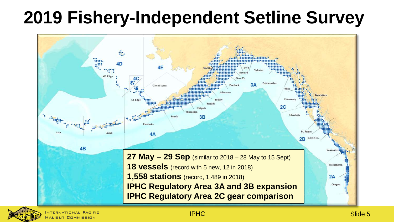### **2019 Fishery-Independent Setline Survey**



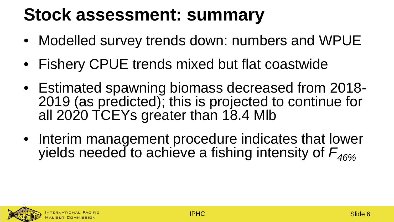#### **Stock assessment: summary**

- Modelled survey trends down: numbers and WPUE
- Fishery CPUE trends mixed but flat coastwide
- Estimated spawning biomass decreased from 2018- 2019 (as predicted); this is projected to continue for all 2020 TCEYs greater than 18.4 Mlb
- Interim management procedure indicates that lower yields needed to achieve a fishing intensity of  $F_{\rm 46\%}$

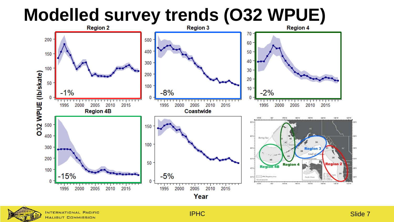# **Modelled survey trends (O32 WPUE)**





NTERNATIONAL PACIFIC HALIBUT COMMISSION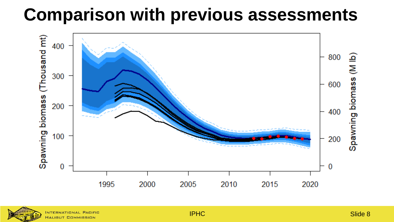#### **Comparison with previous assessments**





**HALIBUT COMMISSION**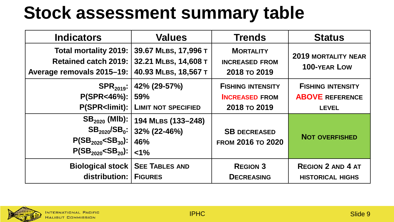### **Stock assessment summary table**

| <b>Indicators</b>                                                          | <b>Values</b>                                                           | <b>Trends</b>                                             | <b>Status</b>                              |
|----------------------------------------------------------------------------|-------------------------------------------------------------------------|-----------------------------------------------------------|--------------------------------------------|
| Total mortality 2019:<br>Retained catch 2019:<br>Average removals 2015-19: | 39.67 MLBS, 17,996 T<br>32.21 MLBS, 14,608 T<br>40.93 MLBS, 18,567 T    | <b>MORTALITY</b><br><b>INCREASED FROM</b><br>2018 то 2019 | <b>2019 MORTALITY NEAR</b><br>100-YEAR LOW |
| $P(SPR < 46\%)$ :                                                          | SPR <sub>2019</sub> :   42% (29-57%)                                    | <b>FISHING INTENSITY</b>                                  | <b>FISHING INTENSITY</b>                   |
|                                                                            | 59%                                                                     | <b>INCREASED FROM</b>                                     | <b>ABOVE REFERENCE</b>                     |
|                                                                            | <b>P(SPR<limit): b="" limit="" not="" specified<=""  =""></limit):></b> | 2018 то 2019                                              | <b>LEVEL</b>                               |
| $P(SB_{2020} < SB_{30})$ :   46%                                           | SB <sub>2020</sub> (MIb):   194 MLBS (133-248)                          | <b>SB DECREASED</b>                                       | <b>NOT OVERFISHED</b>                      |
| $P(SB_{2020} < SB_{20})$ : $ $ <1%                                         | $SB_{2020}/SB_0$ : 32% (22-46%)                                         | FROM 2016 TO 2020                                         |                                            |
| <b>Biological stock   SEE TABLES AND</b>                                   |                                                                         | <b>REGION 3</b>                                           | <b>REGION 2 AND 4 AT</b>                   |
| distribution:   FIGURES                                                    |                                                                         | <b>DECREASING</b>                                         | <b>HISTORICAL HIGHS</b>                    |

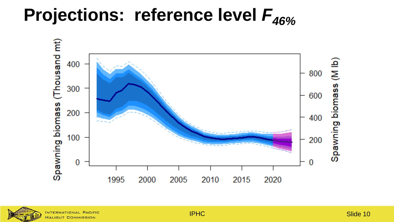### Projections: reference level  $F_{46\%}$





**IPHC**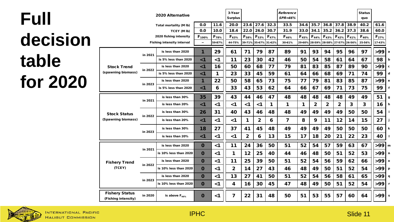| <b>Full</b> | 2020 Alternative                                            |         |                                         |                            | <b>Surplus</b>             |              |                                    |                  |                            | Reference<br><b>SPR=46%</b> |                  |      |                       |                                           |                      | <b>Status</b><br>quo |               |             |
|-------------|-------------------------------------------------------------|---------|-----------------------------------------|----------------------------|----------------------------|--------------|------------------------------------|------------------|----------------------------|-----------------------------|------------------|------|-----------------------|-------------------------------------------|----------------------|----------------------|---------------|-------------|
|             | Total mortality (M lb)                                      |         |                                         | 0.0                        | 11.6                       | 20.0         | 23.6                               | 27.6             | 32.3                       | 33.5                        | 34.6             | 35.7 |                       | $36.8$ 37.8 38.9                          |                      | 40.2                 | 61.6          |             |
|             | TCEY (M Ib)                                                 |         | 0.0                                     | 10.0                       | 18.4                       | 22.0         | 26.0                               | 30.7             | 31.9                       | 33.0                        | 34.1             | 35.2 |                       | $36.2$ 37.3                               | 38.6                 | 60.0                 |               |             |
| decision    | 2020 fishing intensity<br><b>Fishing intensity interval</b> |         | $F_{100\%}$<br>$\overline{\phantom{a}}$ | F <sub>78%</sub><br>59-87% | F <sub>63%</sub><br>44-75% | $F_{58\%}$   | $F_{53\%}$<br>39-71% 35-67% 31-62% | F <sub>47%</sub> | F <sub>46%</sub><br>30-61% | F <sub>45%</sub><br>29-60%  | F <sub>44%</sub> |      | $F_{43\%}$ $F_{42\%}$ | $F_{41\%}$<br>28-59% 28-58% 27-57% 26-56% | $F_{40\%}$<br>25-56% | $F_{27\%}$<br>17-43% |               |             |
|             | <b>Stock Trend</b><br>(spawning biomass)                    | in 2021 | is less than 2020                       | 1                          | 29                         | 61           | 71                                 | 79               | 87                         | 89                          | 91               | 93   | 94                    | 95                                        | 96                   | 97                   | $>99$   a     |             |
| table       |                                                             |         | is 5% less than 2020                    | $\leq 1$                   | $\leq 1$                   | 11           | 23                                 | 30               | 42                         | 46                          | 50               | 54   | 58                    | 61                                        | 64                   | 67                   | 98            | b           |
|             |                                                             | in 2022 | is less than 2020                       | < 1                        | 16                         | 50           | 60                                 | 68               | 77                         | 79                          | 81               | 83   | 85                    | 87                                        | 89                   | 90                   | >99           | c           |
|             |                                                             |         | is 5% less than 2020                    | $\leq 1$                   | 1                          | 23           | 33                                 | 45               | 59                         | 61                          | 64               | 66   | 68                    | 69                                        | 71                   | 74                   | 99            | d           |
| for 2020    |                                                             | in 2023 | is less than 2020                       | 1                          | 22                         | 50           | 58                                 | 65               | 73                         | 75                          | 77               | 79   | 81                    | 83                                        | 85                   | 87                   | >99           | e           |
|             |                                                             |         | is 5% less than 2020                    | $\leq 1$                   | 6                          | 33           | 43                                 | 53               | 62                         | 64                          | 66               | 67   | 69                    | 71                                        | 73                   | 75                   | 99            | $\mathbf f$ |
|             | <b>Stock Status</b><br>(Spawning biomass)                   | in 2021 | is less than 30%                        | 35                         | 39                         | 43           | 44                                 | 46               | 47                         | 48                          | 48               | 48   | 48                    | 48                                        | 49                   | 49                   | 51            | g           |
|             |                                                             |         | is less than 20%                        | < 1                        | $\leq 1$                   | $<$ 1        | $\leq 1$                           | $\leq 1$         | 1                          | 1                           | 1                | 2    | 2                     | 2                                         | 3                    | 3                    | 16            | h           |
|             |                                                             | in 2022 | is less than 30%                        | 26                         | 31                         | 40           | 43                                 | 46               | 48                         | 48                          | 49               | 49   | 49                    | 49                                        | 50                   | 50                   | 54            |             |
|             |                                                             |         | is less than 20%                        | $\leq 1$                   | $\leq 1$                   | <1           | 1                                  | 2                | 6                          | 7                           | 8                | 9    | 11                    | 12                                        | 14                   | 15                   | 27            | j           |
|             |                                                             | in 2023 | is less than 30%                        | 18                         | 27                         | 37           | 41                                 | 45               | 48                         | 49                          | 49               | 49   | 49                    | 50                                        | 50                   | 50                   | 60            | k           |
|             |                                                             |         | is less than 20%                        | $\leq 1$                   | $\leq 1$                   | $\leq 1$     | $\mathbf{2}$                       | 6                | 13                         | 15                          | 17               | 18   | 20                    | 21                                        | 22                   | 23                   | 40            |             |
|             | <b>Fishery Trend</b><br>(TCEY)                              | in 2021 | is less than 2020                       | $\mathbf 0$                | $\leq 1$                   | 11           | 24                                 | 36               | 50                         | 51                          | 52               | 54   | 57                    | 59                                        | 63                   | 67                   | >99   m       |             |
|             |                                                             |         | is 10% less than 2020                   | $\bf{O}$                   | $\leq 1$                   | 1            | 12                                 | 25               | 40                         | 44                          | 46               | 48   | 50                    | 51                                        | 52                   | 53                   | >99 n         |             |
|             |                                                             | in 2022 | is less than 2020                       | $\mathbf 0$                | $\leq 1$                   | 11           | 25                                 | 39               | 50                         | 51                          | 52               | 54   | 56                    | 59                                        | 62                   | 66                   | $>99$ $\circ$ |             |
|             |                                                             |         | is 10% less than 2020                   | $\mathbf 0$                | $\leq 1$                   | $\mathbf{2}$ | 14                                 | 27               | 43                         | 46                          | 48               | 49   | 50                    | 51                                        | 52                   | 54                   | >99   p       |             |
|             |                                                             | in 2023 | is less than 2020                       | $\bf{O}$                   | $\leq 1$                   | 13           | 27                                 | 41               | 50                         | 51                          | 52               | 54   | 56                    | 58                                        | 61                   | 65                   | $>99$   q     |             |
|             |                                                             |         | is 10% less than 2020                   | $\mathbf 0$                | $\leq 1$                   | 4            | 16                                 | 30               | 45                         | 47                          | 48               | 49   | 50                    | 51                                        | 52                   | 54                   | >99 r         |             |
|             | <b>Fishery Status</b><br>(Fishing intensity)                | in 2020 | is above $F_{46\%}$                     | $\bf{0}$                   | $\leq 1$                   | 7            | 22                                 | 31               | 48                         | 50                          | 51               | 53   | 55                    | 57                                        | 60                   | 64                   | $>99$ s       |             |

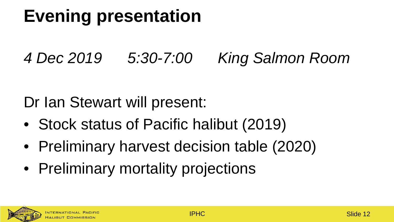### **Evening presentation**

#### *4 Dec 2019 5:30-7:00 King Salmon Room*

#### Dr Ian Stewart will present:

- Stock status of Pacific halibut (2019)
- Preliminary harvest decision table (2020)
- Preliminary mortality projections

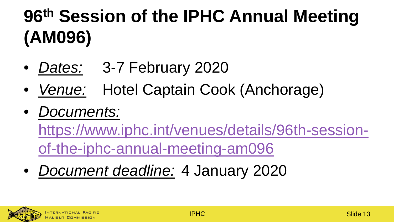# **96th Session of the IPHC Annual Meeting (AM096)**

- *Dates:* 3-7 February 2020
- *Venue:* Hotel Captain Cook (Anchorage)
- *Documents:*

[https://www.iphc.int/venues/details/96th-session](https://www.iphc.int/venues/details/96th-session-of-the-iphc-annual-meeting-am096)of-the-iphc-annual-meeting-am096

• *Document deadline:* 4 January 2020